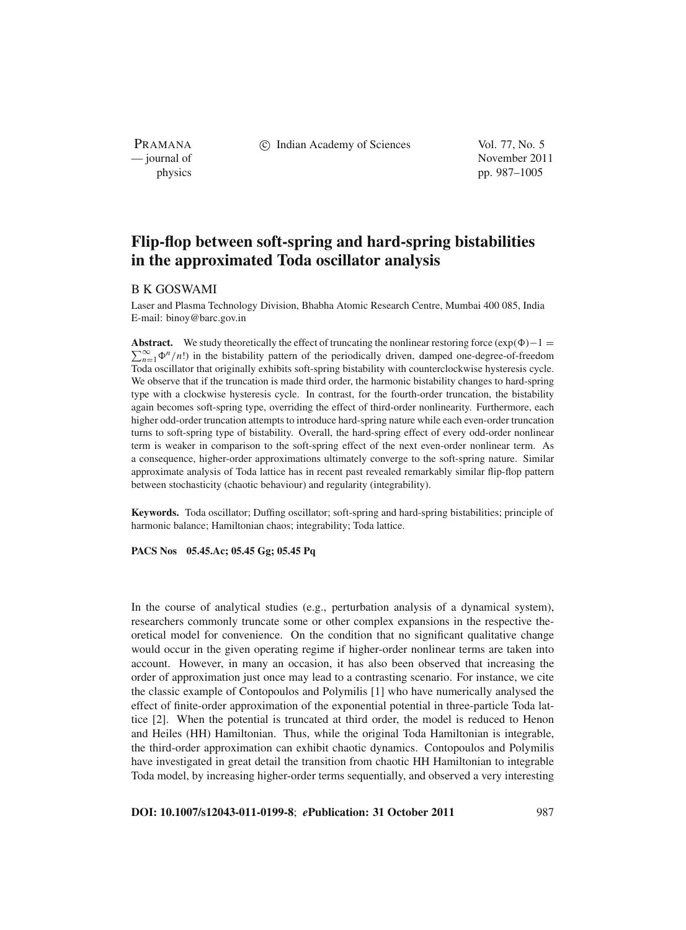PRAMANA

c Indian Academy of Sciences Vol. 77, No. 5

— journal of November 2011 physics pp. 987–1005

# **Flip-flop between soft-spring and hard-spring bistabilities in the approximated Toda oscillator analysis**

## B K GOSWAMI

Laser and Plasma Technology Division, Bhabha Atomic Research Centre, Mumbai 400 085, India E-mail: binoy@barc.gov.in

**Abstract.** We study theoretically the effect of truncating the nonlinear restoring force  $(\exp(\Phi) - 1 = \sum_{\alpha} \Phi^n (n))$  in the histophility pettern of the periodically driven, damped one degree of freedom  $\sum_{n=1}^{\infty} \Phi^n/n!$ ) in the bistability pattern of the periodically driven, damped one-degree-of-freedom Toda oscillator that originally exhibits soft-spring bistability with counterclockwise hysteresis cycle. We observe that if the truncation is made third order, the harmonic bistability changes to hard-spring type with a clockwise hysteresis cycle. In contrast, for the fourth-order truncation, the bistability again becomes soft-spring type, overriding the effect of third-order nonlinearity. Furthermore, each higher odd-order truncation attempts to introduce hard-spring nature while each even-order truncation turns to soft-spring type of bistability. Overall, the hard-spring effect of every odd-order nonlinear term is weaker in comparison to the soft-spring effect of the next even-order nonlinear term. As a consequence, higher-order approximations ultimately converge to the soft-spring nature. Similar approximate analysis of Toda lattice has in recent past revealed remarkably similar flip-flop pattern between stochasticity (chaotic behaviour) and regularity (integrability).

**Keywords.** Toda oscillator; Duffing oscillator; soft-spring and hard-spring bistabilities; principle of harmonic balance; Hamiltonian chaos; integrability; Toda lattice.

**PACS Nos 05.45.Ac; 05.45 Gg; 05.45 Pq**

In the course of analytical studies (e.g., perturbation analysis of a dynamical system), researchers commonly truncate some or other complex expansions in the respective theoretical model for convenience. On the condition that no significant qualitative change would occur in the given operating regime if higher-order nonlinear terms are taken into account. However, in many an occasion, it has also been observed that increasing the order of approximation just once may lead to a contrasting scenario. For instance, we cite the classic example of Contopoulos and Polymilis [1] who have numerically analysed the effect of finite-order approximation of the exponential potential in three-particle Toda lattice [2]. When the potential is truncated at third order, the model is reduced to Henon and Heiles (HH) Hamiltonian. Thus, while the original Toda Hamiltonian is integrable, the third-order approximation can exhibit chaotic dynamics. Contopoulos and Polymilis have investigated in great detail the transition from chaotic HH Hamiltonian to integrable Toda model, by increasing higher-order terms sequentially, and observed a very interesting

**DOI: 10.1007/s12043-011-0199-8**; *e***Publication: 31 October 2011** 987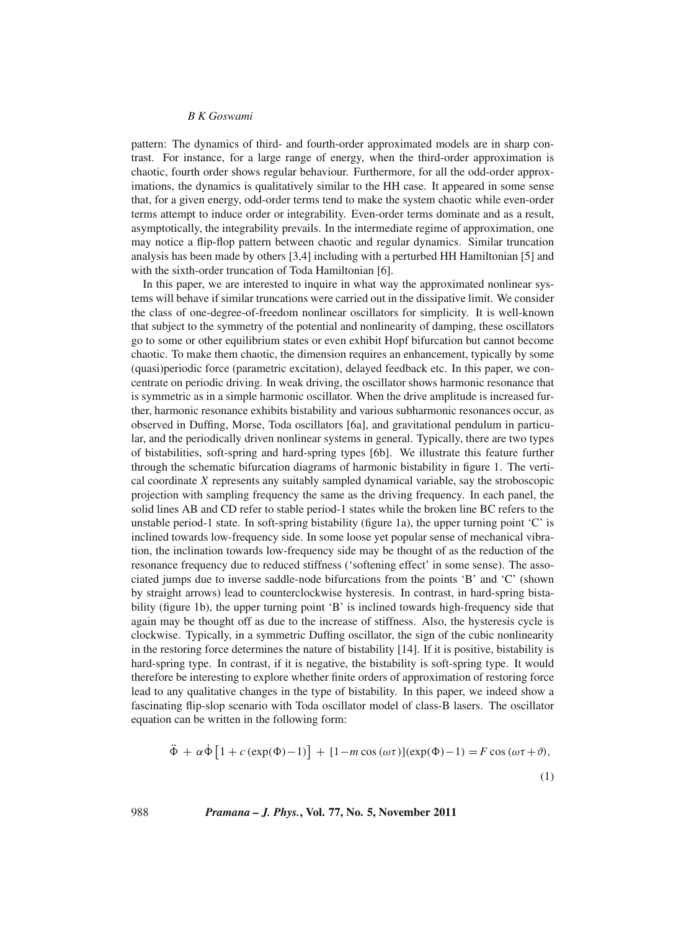pattern: The dynamics of third- and fourth-order approximated models are in sharp contrast. For instance, for a large range of energy, when the third-order approximation is chaotic, fourth order shows regular behaviour. Furthermore, for all the odd-order approximations, the dynamics is qualitatively similar to the HH case. It appeared in some sense that, for a given energy, odd-order terms tend to make the system chaotic while even-order terms attempt to induce order or integrability. Even-order terms dominate and as a result, asymptotically, the integrability prevails. In the intermediate regime of approximation, one may notice a flip-flop pattern between chaotic and regular dynamics. Similar truncation analysis has been made by others [3,4] including with a perturbed HH Hamiltonian [5] and with the sixth-order truncation of Toda Hamiltonian [6].

In this paper, we are interested to inquire in what way the approximated nonlinear systems will behave if similar truncations were carried out in the dissipative limit. We consider the class of one-degree-of-freedom nonlinear oscillators for simplicity. It is well-known that subject to the symmetry of the potential and nonlinearity of damping, these oscillators go to some or other equilibrium states or even exhibit Hopf bifurcation but cannot become chaotic. To make them chaotic, the dimension requires an enhancement, typically by some (quasi)periodic force (parametric excitation), delayed feedback etc. In this paper, we concentrate on periodic driving. In weak driving, the oscillator shows harmonic resonance that is symmetric as in a simple harmonic oscillator. When the drive amplitude is increased further, harmonic resonance exhibits bistability and various subharmonic resonances occur, as observed in Duffing, Morse, Toda oscillators [6a], and gravitational pendulum in particular, and the periodically driven nonlinear systems in general. Typically, there are two types of bistabilities, soft-spring and hard-spring types [6b]. We illustrate this feature further through the schematic bifurcation diagrams of harmonic bistability in figure 1. The vertical coordinate *X* represents any suitably sampled dynamical variable, say the stroboscopic projection with sampling frequency the same as the driving frequency. In each panel, the solid lines AB and CD refer to stable period-1 states while the broken line BC refers to the unstable period-1 state. In soft-spring bistability (figure 1a), the upper turning point 'C' is inclined towards low-frequency side. In some loose yet popular sense of mechanical vibration, the inclination towards low-frequency side may be thought of as the reduction of the resonance frequency due to reduced stiffness ('softening effect' in some sense). The associated jumps due to inverse saddle-node bifurcations from the points 'B' and 'C' (shown by straight arrows) lead to counterclockwise hysteresis. In contrast, in hard-spring bistability (figure 1b), the upper turning point 'B' is inclined towards high-frequency side that again may be thought off as due to the increase of stiffness. Also, the hysteresis cycle is clockwise. Typically, in a symmetric Duffing oscillator, the sign of the cubic nonlinearity in the restoring force determines the nature of bistability [14]. If it is positive, bistability is hard-spring type. In contrast, if it is negative, the bistability is soft-spring type. It would therefore be interesting to explore whether finite orders of approximation of restoring force lead to any qualitative changes in the type of bistability. In this paper, we indeed show a fascinating flip-slop scenario with Toda oscillator model of class-B lasers. The oscillator equation can be written in the following form:

$$
\ddot{\Phi} + \alpha \dot{\Phi} \left[ 1 + c \left( \exp(\Phi) - 1 \right) \right] + \left[ 1 - m \cos \left( \omega \tau \right) \right] \left( \exp(\Phi) - 1 \right) = F \cos \left( \omega \tau + \vartheta \right),\tag{1}
$$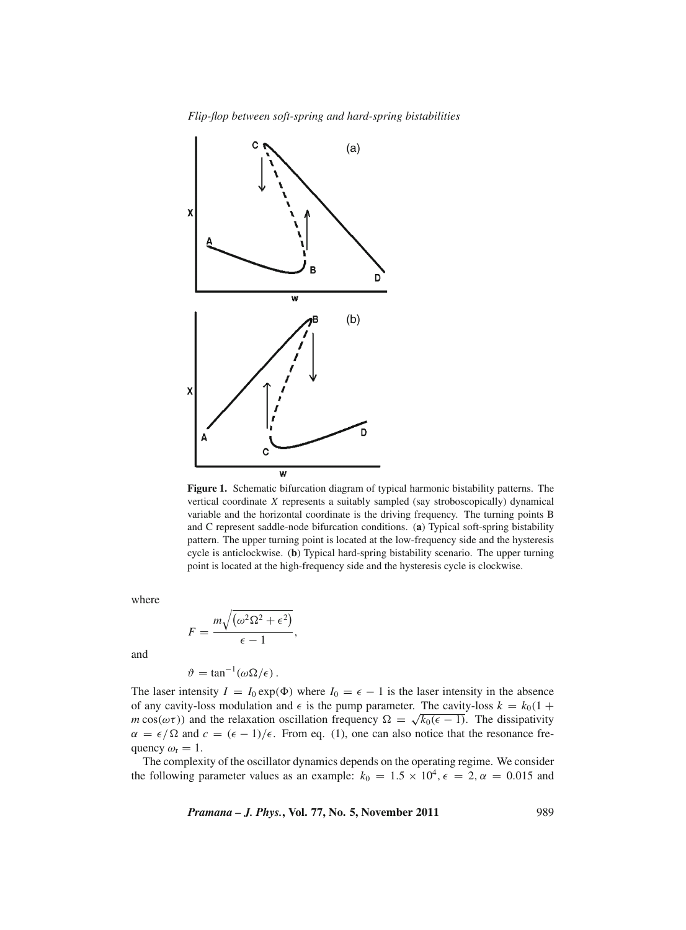*Flip-flop between soft-spring and hard-spring bistabilities*



**Figure 1.** Schematic bifurcation diagram of typical harmonic bistability patterns. The vertical coordinate *X* represents a suitably sampled (say stroboscopically) dynamical variable and the horizontal coordinate is the driving frequency. The turning points B and C represent saddle-node bifurcation conditions. (**a**) Typical soft-spring bistability pattern. The upper turning point is located at the low-frequency side and the hysteresis cycle is anticlockwise. (**b**) Typical hard-spring bistability scenario. The upper turning point is located at the high-frequency side and the hysteresis cycle is clockwise.

where

$$
F = \frac{m\sqrt{(\omega^2\Omega^2 + \epsilon^2)}}{\epsilon - 1},
$$

and

$$
\vartheta = \tan^{-1}(\omega \Omega / \epsilon).
$$

The laser intensity  $I = I_0 \exp(\Phi)$  where  $I_0 = \epsilon - 1$  is the laser intensity in the absence of any cavity-loss modulation and  $\epsilon$  is the pump parameter. The cavity-loss  $k = k_0(1 +$ *m* cos( $\omega \tau$ )) and the relaxation oscillation frequency  $\Omega = \sqrt{k_0(\epsilon - 1)}$ . The dissipativity  $\alpha = \epsilon/\Omega$  and  $c = (\epsilon - 1)/\epsilon$ . From eq. (1), one can also notice that the resonance frequency  $\omega_r = 1$ .

The complexity of the oscillator dynamics depends on the operating regime. We consider the following parameter values as an example:  $k_0 = 1.5 \times 10^4$ ,  $\epsilon = 2$ ,  $\alpha = 0.015$  and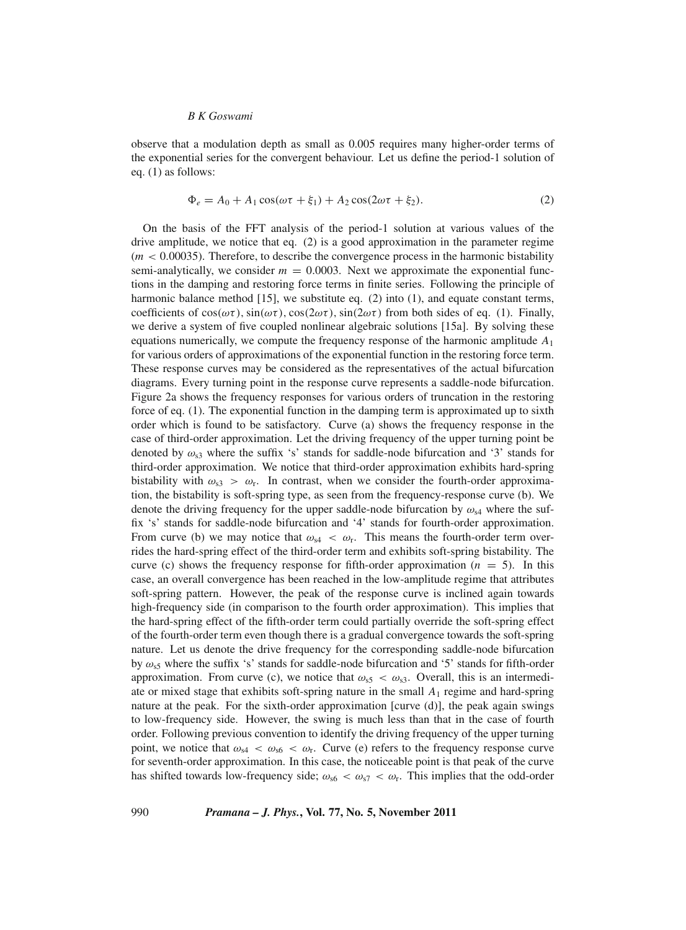observe that a modulation depth as small as 0.005 requires many higher-order terms of the exponential series for the convergent behaviour. Let us define the period-1 solution of eq. (1) as follows:

$$
\Phi_e = A_0 + A_1 \cos(\omega \tau + \xi_1) + A_2 \cos(2\omega \tau + \xi_2). \tag{2}
$$

On the basis of the FFT analysis of the period-1 solution at various values of the drive amplitude, we notice that eq. (2) is a good approximation in the parameter regime  $(m < 0.00035)$ . Therefore, to describe the convergence process in the harmonic bistability semi-analytically, we consider  $m = 0.0003$ . Next we approximate the exponential functions in the damping and restoring force terms in finite series. Following the principle of harmonic balance method [15], we substitute eq. (2) into (1), and equate constant terms, coefficients of  $cos(\omega \tau)$ ,  $sin(\omega \tau)$ ,  $cos(2\omega \tau)$ ,  $sin(2\omega \tau)$  from both sides of eq. (1). Finally, we derive a system of five coupled nonlinear algebraic solutions [15a]. By solving these equations numerically, we compute the frequency response of the harmonic amplitude *A*<sup>1</sup> for various orders of approximations of the exponential function in the restoring force term. These response curves may be considered as the representatives of the actual bifurcation diagrams. Every turning point in the response curve represents a saddle-node bifurcation. Figure 2a shows the frequency responses for various orders of truncation in the restoring force of eq. (1). The exponential function in the damping term is approximated up to sixth order which is found to be satisfactory. Curve (a) shows the frequency response in the case of third-order approximation. Let the driving frequency of the upper turning point be denoted by  $\omega_{s3}$  where the suffix 's' stands for saddle-node bifurcation and '3' stands for third-order approximation. We notice that third-order approximation exhibits hard-spring bistability with  $\omega_{s3} > \omega_r$ . In contrast, when we consider the fourth-order approximation, the bistability is soft-spring type, as seen from the frequency-response curve (b). We denote the driving frequency for the upper saddle-node bifurcation by  $\omega_{s4}$  where the suffix 's' stands for saddle-node bifurcation and '4' stands for fourth-order approximation. From curve (b) we may notice that  $\omega_{s4} < \omega_{r}$ . This means the fourth-order term overrides the hard-spring effect of the third-order term and exhibits soft-spring bistability. The curve (c) shows the frequency response for fifth-order approximation  $(n = 5)$ . In this case, an overall convergence has been reached in the low-amplitude regime that attributes soft-spring pattern. However, the peak of the response curve is inclined again towards high-frequency side (in comparison to the fourth order approximation). This implies that the hard-spring effect of the fifth-order term could partially override the soft-spring effect of the fourth-order term even though there is a gradual convergence towards the soft-spring nature. Let us denote the drive frequency for the corresponding saddle-node bifurcation by  $\omega_{s5}$  where the suffix 's' stands for saddle-node bifurcation and '5' stands for fifth-order approximation. From curve (c), we notice that  $\omega_{s5} < \omega_{s3}$ . Overall, this is an intermediate or mixed stage that exhibits soft-spring nature in the small *A*<sup>1</sup> regime and hard-spring nature at the peak. For the sixth-order approximation [curve (d)], the peak again swings to low-frequency side. However, the swing is much less than that in the case of fourth order. Following previous convention to identify the driving frequency of the upper turning point, we notice that  $\omega_{s4} < \omega_{s6} < \omega_r$ . Curve (e) refers to the frequency response curve for seventh-order approximation. In this case, the noticeable point is that peak of the curve has shifted towards low-frequency side;  $\omega_{s6} < \omega_{s7} < \omega_r$ . This implies that the odd-order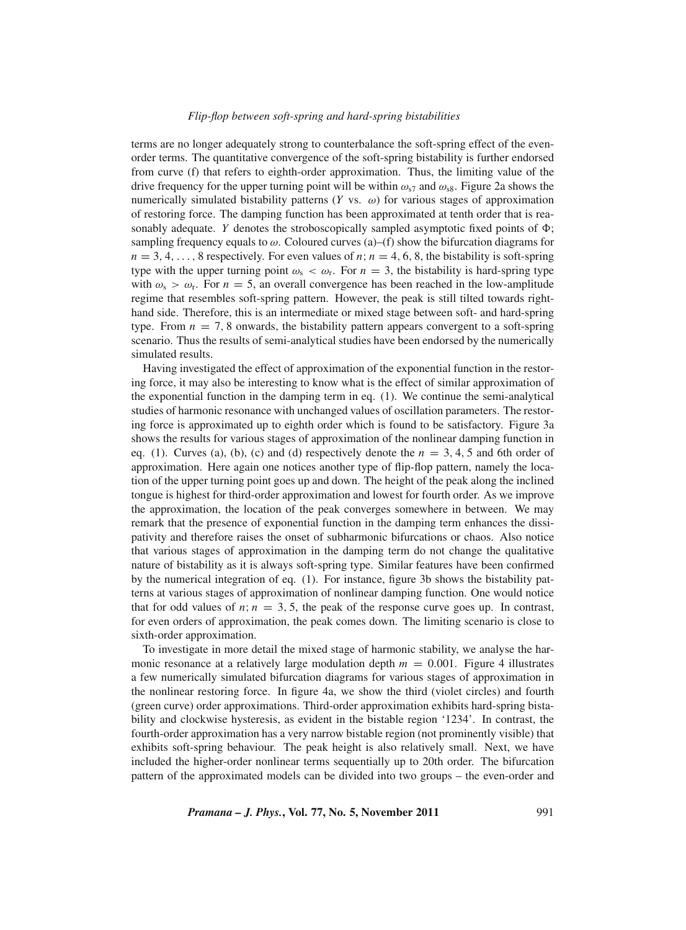terms are no longer adequately strong to counterbalance the soft-spring effect of the evenorder terms. The quantitative convergence of the soft-spring bistability is further endorsed from curve (f) that refers to eighth-order approximation. Thus, the limiting value of the drive frequency for the upper turning point will be within  $\omega_{\rm s7}$  and  $\omega_{\rm s8}$ . Figure 2a shows the numerically simulated bistability patterns  $(Y \text{ vs. } \omega)$  for various stages of approximation of restoring force. The damping function has been approximated at tenth order that is reasonably adequate. *Y* denotes the stroboscopically sampled asymptotic fixed points of  $\Phi$ ; sampling frequency equals to  $\omega$ . Coloured curves (a)–(f) show the bifurcation diagrams for  $n = 3, 4, \ldots, 8$  respectively. For even values of *n*;  $n = 4, 6, 8$ , the bistability is soft-spring type with the upper turning point  $\omega_s < \omega_r$ . For  $n = 3$ , the bistability is hard-spring type with  $\omega_s > \omega_r$ . For  $n = 5$ , an overall convergence has been reached in the low-amplitude regime that resembles soft-spring pattern. However, the peak is still tilted towards righthand side. Therefore, this is an intermediate or mixed stage between soft- and hard-spring type. From  $n = 7, 8$  onwards, the bistability pattern appears convergent to a soft-spring scenario. Thus the results of semi-analytical studies have been endorsed by the numerically simulated results.

Having investigated the effect of approximation of the exponential function in the restoring force, it may also be interesting to know what is the effect of similar approximation of the exponential function in the damping term in eq. (1). We continue the semi-analytical studies of harmonic resonance with unchanged values of oscillation parameters. The restoring force is approximated up to eighth order which is found to be satisfactory. Figure 3a shows the results for various stages of approximation of the nonlinear damping function in eq. (1). Curves (a), (b), (c) and (d) respectively denote the  $n = 3, 4, 5$  and 6th order of approximation. Here again one notices another type of flip-flop pattern, namely the location of the upper turning point goes up and down. The height of the peak along the inclined tongue is highest for third-order approximation and lowest for fourth order. As we improve the approximation, the location of the peak converges somewhere in between. We may remark that the presence of exponential function in the damping term enhances the dissipativity and therefore raises the onset of subharmonic bifurcations or chaos. Also notice that various stages of approximation in the damping term do not change the qualitative nature of bistability as it is always soft-spring type. Similar features have been confirmed by the numerical integration of eq. (1). For instance, figure 3b shows the bistability patterns at various stages of approximation of nonlinear damping function. One would notice that for odd values of  $n; n = 3, 5$ , the peak of the response curve goes up. In contrast, for even orders of approximation, the peak comes down. The limiting scenario is close to sixth-order approximation.

To investigate in more detail the mixed stage of harmonic stability, we analyse the harmonic resonance at a relatively large modulation depth  $m = 0.001$ . Figure 4 illustrates a few numerically simulated bifurcation diagrams for various stages of approximation in the nonlinear restoring force. In figure 4a, we show the third (violet circles) and fourth (green curve) order approximations. Third-order approximation exhibits hard-spring bistability and clockwise hysteresis, as evident in the bistable region '1234'. In contrast, the fourth-order approximation has a very narrow bistable region (not prominently visible) that exhibits soft-spring behaviour. The peak height is also relatively small. Next, we have included the higher-order nonlinear terms sequentially up to 20th order. The bifurcation pattern of the approximated models can be divided into two groups – the even-order and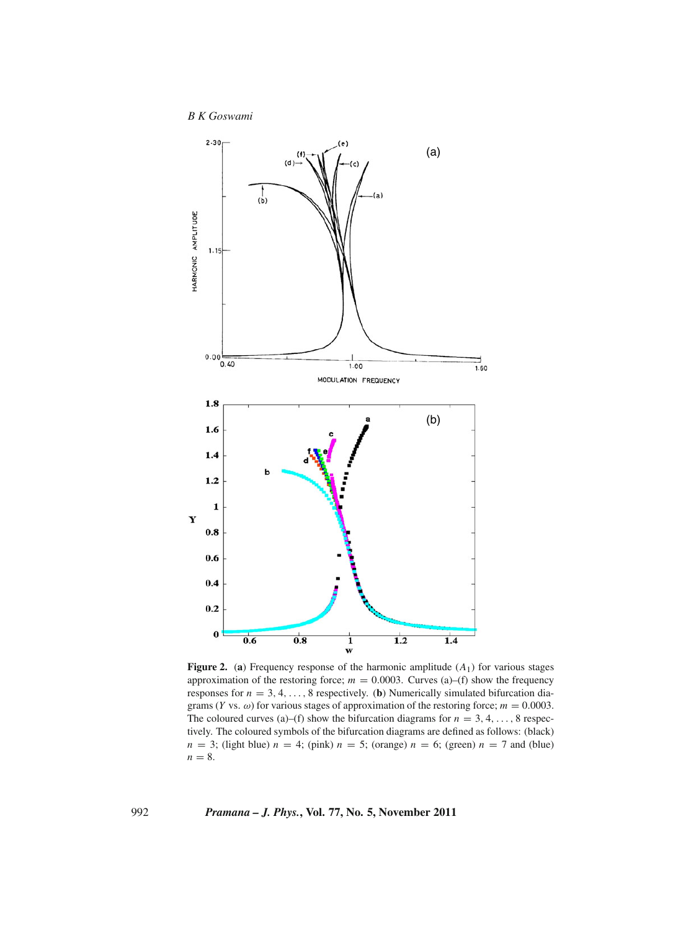*B K Goswami*



**Figure 2.** (a) Frequency response of the harmonic amplitude  $(A_1)$  for various stages approximation of the restoring force;  $m = 0.0003$ . Curves (a)–(f) show the frequency responses for  $n = 3, 4, \ldots, 8$  respectively. (**b**) Numerically simulated bifurcation diagrams (*Y* vs.  $\omega$ ) for various stages of approximation of the restoring force;  $m = 0.0003$ . The coloured curves (a)–(f) show the bifurcation diagrams for  $n = 3, 4, \ldots, 8$  respectively. The coloured symbols of the bifurcation diagrams are defined as follows: (black)  $n = 3$ ; (light blue)  $n = 4$ ; (pink)  $n = 5$ ; (orange)  $n = 6$ ; (green)  $n = 7$  and (blue)  $n = 8$ .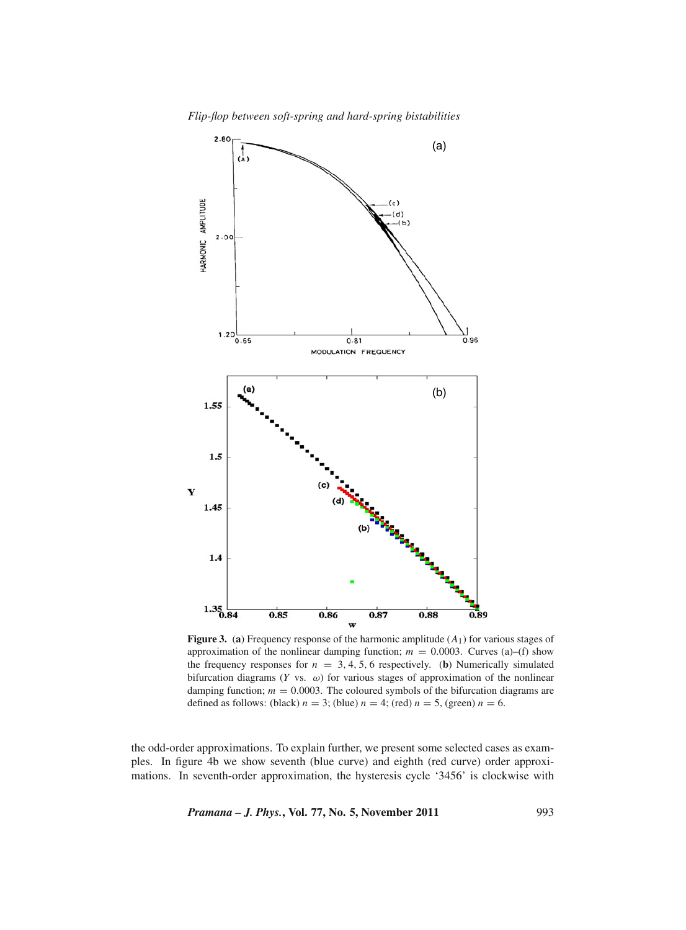

**Figure 3.** (a) Frequency response of the harmonic amplitude  $(A_1)$  for various stages of approximation of the nonlinear damping function;  $m = 0.0003$ . Curves (a)–(f) show the frequency responses for  $n = 3, 4, 5, 6$  respectively. (**b**) Numerically simulated bifurcation diagrams ( $Y$  vs.  $\omega$ ) for various stages of approximation of the nonlinear damping function;  $m = 0.0003$ . The coloured symbols of the bifurcation diagrams are defined as follows: (black)  $n = 3$ ; (blue)  $n = 4$ ; (red)  $n = 5$ , (green)  $n = 6$ .

the odd-order approximations. To explain further, we present some selected cases as examples. In figure 4b we show seventh (blue curve) and eighth (red curve) order approximations. In seventh-order approximation, the hysteresis cycle '3456' is clockwise with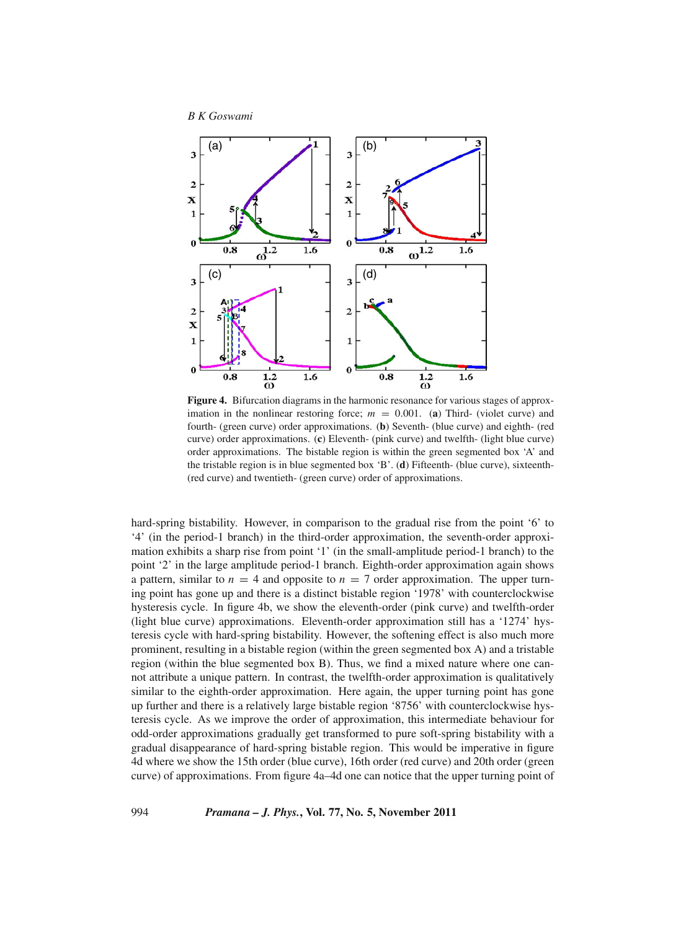



**Figure 4.** Bifurcation diagrams in the harmonic resonance for various stages of approximation in the nonlinear restoring force;  $m = 0.001$ . (a) Third- (violet curve) and fourth- (green curve) order approximations. (**b**) Seventh- (blue curve) and eighth- (red curve) order approximations. (**c**) Eleventh- (pink curve) and twelfth- (light blue curve) order approximations. The bistable region is within the green segmented box 'A' and the tristable region is in blue segmented box 'B'. (**d**) Fifteenth- (blue curve), sixteenth- (red curve) and twentieth- (green curve) order of approximations.

hard-spring bistability. However, in comparison to the gradual rise from the point '6' to '4' (in the period-1 branch) in the third-order approximation, the seventh-order approximation exhibits a sharp rise from point '1' (in the small-amplitude period-1 branch) to the point '2' in the large amplitude period-1 branch. Eighth-order approximation again shows a pattern, similar to  $n = 4$  and opposite to  $n = 7$  order approximation. The upper turning point has gone up and there is a distinct bistable region '1978' with counterclockwise hysteresis cycle. In figure 4b, we show the eleventh-order (pink curve) and twelfth-order (light blue curve) approximations. Eleventh-order approximation still has a '1274' hysteresis cycle with hard-spring bistability. However, the softening effect is also much more prominent, resulting in a bistable region (within the green segmented box A) and a tristable region (within the blue segmented box B). Thus, we find a mixed nature where one cannot attribute a unique pattern. In contrast, the twelfth-order approximation is qualitatively similar to the eighth-order approximation. Here again, the upper turning point has gone up further and there is a relatively large bistable region '8756' with counterclockwise hysteresis cycle. As we improve the order of approximation, this intermediate behaviour for odd-order approximations gradually get transformed to pure soft-spring bistability with a gradual disappearance of hard-spring bistable region. This would be imperative in figure 4d where we show the 15th order (blue curve), 16th order (red curve) and 20th order (green curve) of approximations. From figure 4a–4d one can notice that the upper turning point of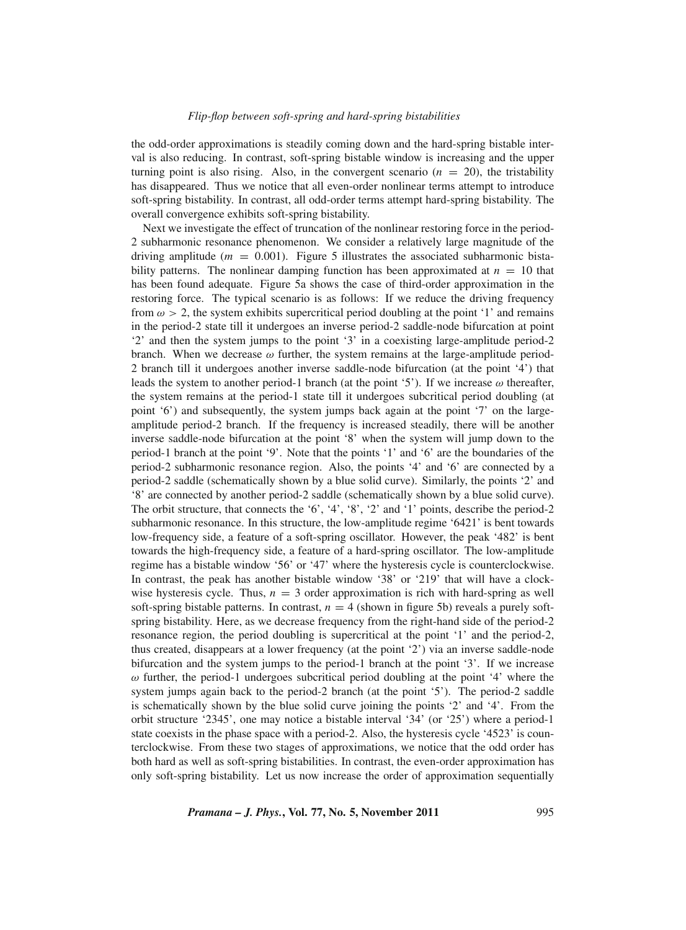the odd-order approximations is steadily coming down and the hard-spring bistable interval is also reducing. In contrast, soft-spring bistable window is increasing and the upper turning point is also rising. Also, in the convergent scenario  $(n = 20)$ , the tristability has disappeared. Thus we notice that all even-order nonlinear terms attempt to introduce soft-spring bistability. In contrast, all odd-order terms attempt hard-spring bistability. The overall convergence exhibits soft-spring bistability.

Next we investigate the effect of truncation of the nonlinear restoring force in the period-2 subharmonic resonance phenomenon. We consider a relatively large magnitude of the driving amplitude ( $m = 0.001$ ). Figure 5 illustrates the associated subharmonic bistability patterns. The nonlinear damping function has been approximated at  $n = 10$  that has been found adequate. Figure 5a shows the case of third-order approximation in the restoring force. The typical scenario is as follows: If we reduce the driving frequency from  $\omega > 2$ , the system exhibits supercritical period doubling at the point '1' and remains in the period-2 state till it undergoes an inverse period-2 saddle-node bifurcation at point '2' and then the system jumps to the point '3' in a coexisting large-amplitude period-2 branch. When we decrease  $\omega$  further, the system remains at the large-amplitude period-2 branch till it undergoes another inverse saddle-node bifurcation (at the point '4') that leads the system to another period-1 branch (at the point '5'). If we increase  $\omega$  thereafter, the system remains at the period-1 state till it undergoes subcritical period doubling (at point '6') and subsequently, the system jumps back again at the point '7' on the largeamplitude period-2 branch. If the frequency is increased steadily, there will be another inverse saddle-node bifurcation at the point '8' when the system will jump down to the period-1 branch at the point '9'. Note that the points '1' and '6' are the boundaries of the period-2 subharmonic resonance region. Also, the points '4' and '6' are connected by a period-2 saddle (schematically shown by a blue solid curve). Similarly, the points '2' and '8' are connected by another period-2 saddle (schematically shown by a blue solid curve). The orbit structure, that connects the '6', '4', '8', '2' and '1' points, describe the period-2 subharmonic resonance. In this structure, the low-amplitude regime '6421' is bent towards low-frequency side, a feature of a soft-spring oscillator. However, the peak '482' is bent towards the high-frequency side, a feature of a hard-spring oscillator. The low-amplitude regime has a bistable window '56' or '47' where the hysteresis cycle is counterclockwise. In contrast, the peak has another bistable window '38' or '219' that will have a clockwise hysteresis cycle. Thus,  $n = 3$  order approximation is rich with hard-spring as well soft-spring bistable patterns. In contrast,  $n = 4$  (shown in figure 5b) reveals a purely softspring bistability. Here, as we decrease frequency from the right-hand side of the period-2 resonance region, the period doubling is supercritical at the point '1' and the period-2, thus created, disappears at a lower frequency (at the point '2') via an inverse saddle-node bifurcation and the system jumps to the period-1 branch at the point '3'. If we increase  $\omega$  further, the period-1 undergoes subcritical period doubling at the point '4' where the system jumps again back to the period-2 branch (at the point '5'). The period-2 saddle is schematically shown by the blue solid curve joining the points '2' and '4'. From the orbit structure '2345', one may notice a bistable interval '34' (or '25') where a period-1 state coexists in the phase space with a period-2. Also, the hysteresis cycle '4523' is counterclockwise. From these two stages of approximations, we notice that the odd order has both hard as well as soft-spring bistabilities. In contrast, the even-order approximation has only soft-spring bistability. Let us now increase the order of approximation sequentially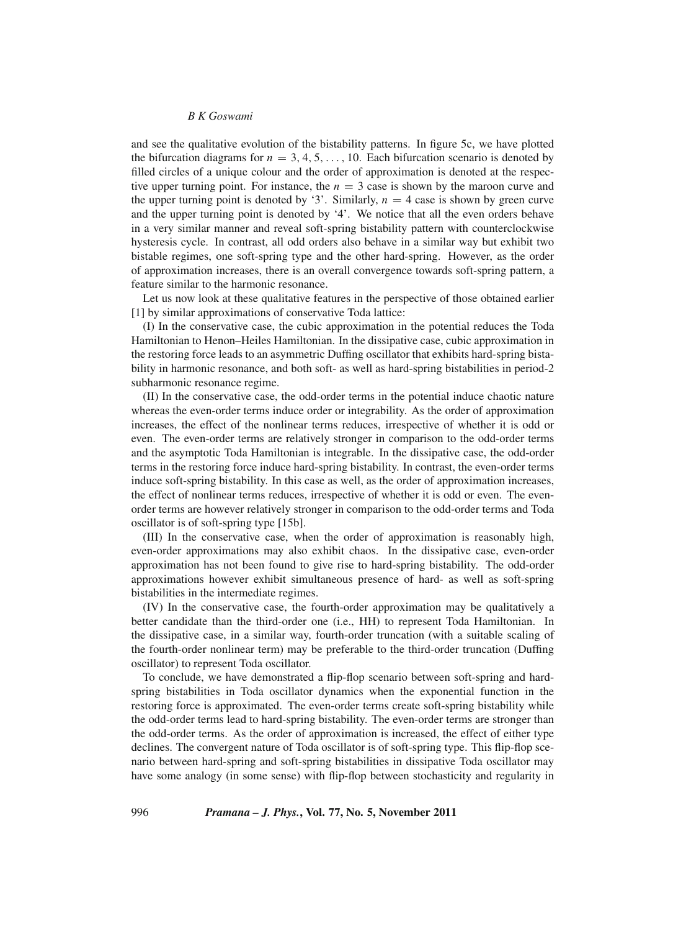and see the qualitative evolution of the bistability patterns. In figure 5c, we have plotted the bifurcation diagrams for  $n = 3, 4, 5, \ldots, 10$ . Each bifurcation scenario is denoted by filled circles of a unique colour and the order of approximation is denoted at the respective upper turning point. For instance, the  $n = 3$  case is shown by the maroon curve and the upper turning point is denoted by '3'. Similarly,  $n = 4$  case is shown by green curve and the upper turning point is denoted by '4'. We notice that all the even orders behave in a very similar manner and reveal soft-spring bistability pattern with counterclockwise hysteresis cycle. In contrast, all odd orders also behave in a similar way but exhibit two bistable regimes, one soft-spring type and the other hard-spring. However, as the order of approximation increases, there is an overall convergence towards soft-spring pattern, a feature similar to the harmonic resonance.

Let us now look at these qualitative features in the perspective of those obtained earlier [1] by similar approximations of conservative Toda lattice:

(I) In the conservative case, the cubic approximation in the potential reduces the Toda Hamiltonian to Henon–Heiles Hamiltonian. In the dissipative case, cubic approximation in the restoring force leads to an asymmetric Duffing oscillator that exhibits hard-spring bistability in harmonic resonance, and both soft- as well as hard-spring bistabilities in period-2 subharmonic resonance regime.

(II) In the conservative case, the odd-order terms in the potential induce chaotic nature whereas the even-order terms induce order or integrability. As the order of approximation increases, the effect of the nonlinear terms reduces, irrespective of whether it is odd or even. The even-order terms are relatively stronger in comparison to the odd-order terms and the asymptotic Toda Hamiltonian is integrable. In the dissipative case, the odd-order terms in the restoring force induce hard-spring bistability. In contrast, the even-order terms induce soft-spring bistability. In this case as well, as the order of approximation increases, the effect of nonlinear terms reduces, irrespective of whether it is odd or even. The evenorder terms are however relatively stronger in comparison to the odd-order terms and Toda oscillator is of soft-spring type [15b].

(III) In the conservative case, when the order of approximation is reasonably high, even-order approximations may also exhibit chaos. In the dissipative case, even-order approximation has not been found to give rise to hard-spring bistability. The odd-order approximations however exhibit simultaneous presence of hard- as well as soft-spring bistabilities in the intermediate regimes.

(IV) In the conservative case, the fourth-order approximation may be qualitatively a better candidate than the third-order one (i.e., HH) to represent Toda Hamiltonian. In the dissipative case, in a similar way, fourth-order truncation (with a suitable scaling of the fourth-order nonlinear term) may be preferable to the third-order truncation (Duffing oscillator) to represent Toda oscillator.

To conclude, we have demonstrated a flip-flop scenario between soft-spring and hardspring bistabilities in Toda oscillator dynamics when the exponential function in the restoring force is approximated. The even-order terms create soft-spring bistability while the odd-order terms lead to hard-spring bistability. The even-order terms are stronger than the odd-order terms. As the order of approximation is increased, the effect of either type declines. The convergent nature of Toda oscillator is of soft-spring type. This flip-flop scenario between hard-spring and soft-spring bistabilities in dissipative Toda oscillator may have some analogy (in some sense) with flip-flop between stochasticity and regularity in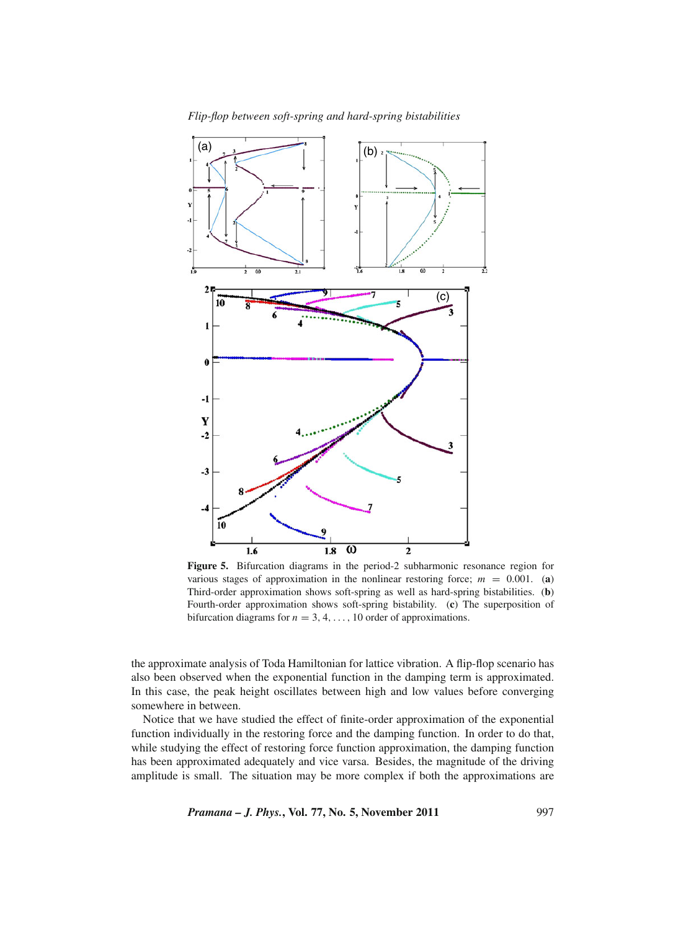

*Flip-flop between soft-spring and hard-spring bistabilities*

**Figure 5.** Bifurcation diagrams in the period-2 subharmonic resonance region for various stages of approximation in the nonlinear restoring force;  $m = 0.001$ . (a) Third-order approximation shows soft-spring as well as hard-spring bistabilities. (**b**) Fourth-order approximation shows soft-spring bistability. (**c**) The superposition of bifurcation diagrams for  $n = 3, 4, \ldots, 10$  order of approximations.

the approximate analysis of Toda Hamiltonian for lattice vibration. A flip-flop scenario has also been observed when the exponential function in the damping term is approximated. In this case, the peak height oscillates between high and low values before converging somewhere in between.

Notice that we have studied the effect of finite-order approximation of the exponential function individually in the restoring force and the damping function. In order to do that, while studying the effect of restoring force function approximation, the damping function has been approximated adequately and vice varsa. Besides, the magnitude of the driving amplitude is small. The situation may be more complex if both the approximations are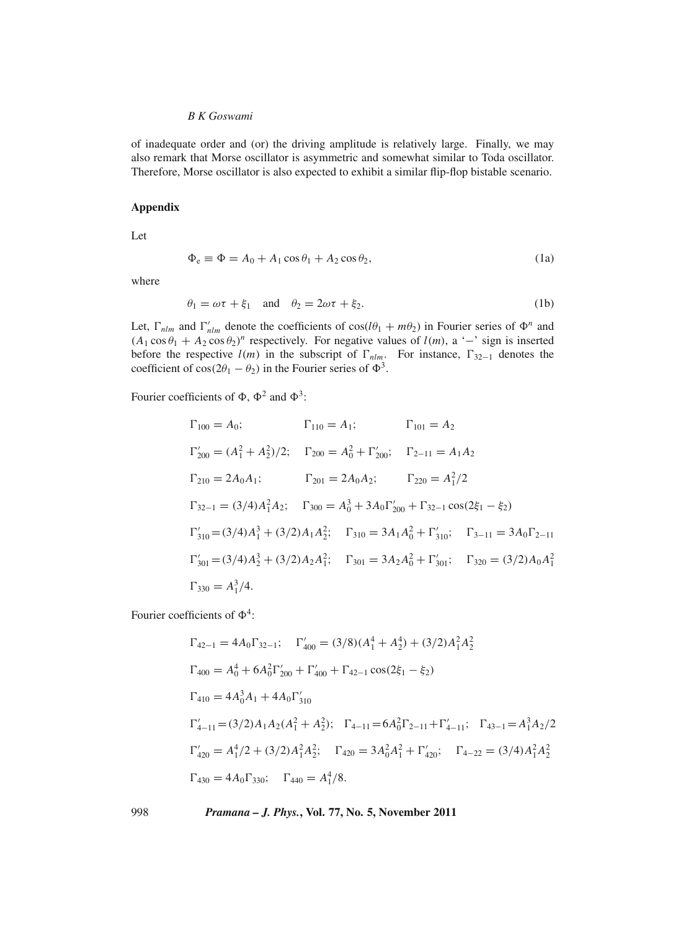of inadequate order and (or) the driving amplitude is relatively large. Finally, we may also remark that Morse oscillator is asymmetric and somewhat similar to Toda oscillator. Therefore, Morse oscillator is also expected to exhibit a similar flip-flop bistable scenario.

### **Appendix**

Let

$$
\Phi_{\rm e} \equiv \Phi = A_0 + A_1 \cos \theta_1 + A_2 \cos \theta_2,\tag{1a}
$$

where

$$
\theta_1 = \omega \tau + \xi_1 \quad \text{and} \quad \theta_2 = 2\omega \tau + \xi_2. \tag{1b}
$$

Let,  $\Gamma_{nlm}$  and  $\Gamma'_{nlm}$  denote the coefficients of  $\cos(l\theta_1 + m\theta_2)$  in Fourier series of  $\Phi^n$  and  $(A_1 \cos \theta_1 + A_2 \cos \theta_2)^n$  respectively. For negative values of  $l(m)$ , a '-' sign is inserted before the respective  $l(m)$  in the subscript of  $\Gamma_{nlm}$ . For instance,  $\Gamma_{32-1}$  denotes the coefficient of  $cos(2\theta_1 - \theta_2)$  in the Fourier series of  $\Phi^3$ .

Fourier coefficients of  $\Phi$ ,  $\Phi^2$  and  $\Phi^3$ :

$$
\Gamma_{100} = A_0; \qquad \Gamma_{110} = A_1; \qquad \Gamma_{101} = A_2
$$
  
\n
$$
\Gamma'_{200} = (A_1^2 + A_2^2)/2; \qquad \Gamma_{200} = A_0^2 + \Gamma'_{200}; \qquad \Gamma_{2-11} = A_1 A_2
$$
  
\n
$$
\Gamma_{210} = 2A_0 A_1; \qquad \Gamma_{201} = 2A_0 A_2; \qquad \Gamma_{220} = A_1^2/2
$$
  
\n
$$
\Gamma_{32-1} = (3/4)A_1^2 A_2; \qquad \Gamma_{300} = A_0^3 + 3A_0 \Gamma'_{200} + \Gamma_{32-1} \cos(2\xi_1 - \xi_2)
$$
  
\n
$$
\Gamma'_{310} = (3/4)A_1^3 + (3/2)A_1 A_2^2; \qquad \Gamma_{310} = 3A_1 A_0^2 + \Gamma'_{310}; \qquad \Gamma_{3-11} = 3A_0 \Gamma_{2-11}
$$
  
\n
$$
\Gamma'_{301} = (3/4)A_2^3 + (3/2)A_2 A_1^2; \qquad \Gamma_{301} = 3A_2 A_0^2 + \Gamma'_{301}; \qquad \Gamma_{320} = (3/2)A_0 A_1^2
$$
  
\n
$$
\Gamma_{330} = A_1^3/4.
$$

Fourier coefficients of  $\Phi^4$ :

$$
\Gamma_{42-1} = 4A_0 \Gamma_{32-1}; \quad \Gamma'_{400} = (3/8)(A_1^4 + A_2^4) + (3/2)A_1^2 A_2^2
$$
  
\n
$$
\Gamma_{400} = A_0^4 + 6A_0^2 \Gamma'_{200} + \Gamma'_{400} + \Gamma_{42-1} \cos(2\xi_1 - \xi_2)
$$
  
\n
$$
\Gamma_{410} = 4A_0^3 A_1 + 4A_0 \Gamma'_{310}
$$
  
\n
$$
\Gamma'_{4-11} = (3/2)A_1 A_2 (A_1^2 + A_2^2); \quad \Gamma_{4-11} = 6A_0^2 \Gamma_{2-11} + \Gamma'_{4-11}; \quad \Gamma_{43-1} = A_1^3 A_2 / 2
$$
  
\n
$$
\Gamma'_{420} = A_1^4 / 2 + (3/2)A_1^2 A_2^2; \quad \Gamma_{420} = 3A_0^2 A_1^2 + \Gamma'_{420}; \quad \Gamma_{4-22} = (3/4)A_1^2 A_2^2
$$
  
\n
$$
\Gamma_{430} = 4A_0 \Gamma_{330}; \quad \Gamma_{440} = A_1^4 / 8.
$$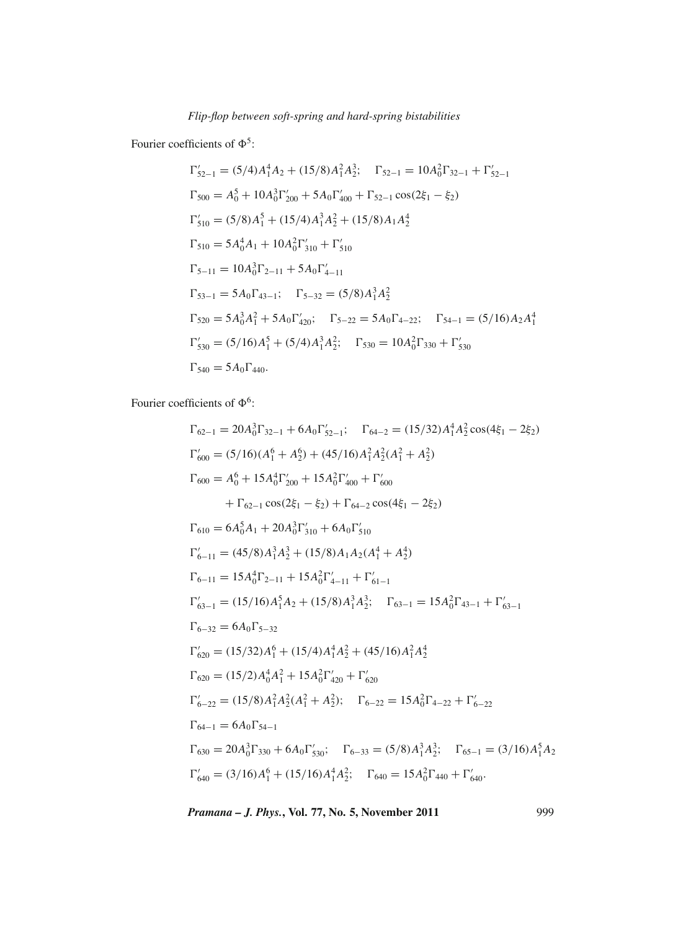Fourier coefficients of  $\Phi^5$ :

$$
\Gamma'_{52-1} = (5/4)A_1^4 A_2 + (15/8)A_1^2 A_2^3; \quad \Gamma_{52-1} = 10 A_0^2 \Gamma_{32-1} + \Gamma'_{52-1}
$$
\n
$$
\Gamma_{500} = A_0^5 + 10 A_0^3 \Gamma'_{200} + 5 A_0 \Gamma'_{400} + \Gamma_{52-1} \cos(2\xi_1 - \xi_2)
$$
\n
$$
\Gamma'_{510} = (5/8)A_1^5 + (15/4)A_1^3 A_2^2 + (15/8)A_1 A_2^4
$$
\n
$$
\Gamma_{510} = 5 A_0^4 A_1 + 10 A_0^2 \Gamma'_{310} + \Gamma'_{510}
$$
\n
$$
\Gamma_{5-11} = 10 A_0^3 \Gamma_{2-11} + 5 A_0 \Gamma'_{4-11}
$$
\n
$$
\Gamma_{53-1} = 5 A_0 \Gamma_{43-1}; \quad \Gamma_{5-32} = (5/8)A_1^3 A_2^2
$$
\n
$$
\Gamma_{520} = 5 A_0^3 A_1^2 + 5 A_0 \Gamma'_{420}; \quad \Gamma_{5-22} = 5 A_0 \Gamma_{4-22}; \quad \Gamma_{54-1} = (5/16)A_2 A_1^4
$$
\n
$$
\Gamma'_{530} = (5/16)A_1^5 + (5/4)A_1^3 A_2^2; \quad \Gamma_{530} = 10 A_0^2 \Gamma_{330} + \Gamma'_{530}
$$
\n
$$
\Gamma_{540} = 5 A_0 \Gamma_{440}.
$$

Fourier coefficients of  $\Phi^6$ :

$$
\Gamma_{62-1} = 20A_0^3 \Gamma_{32-1} + 6A_0 \Gamma'_{52-1}; \quad \Gamma_{64-2} = (15/32)A_1^4 A_2^2 \cos(4\xi_1 - 2\xi_2)
$$
  
\n
$$
\Gamma'_{600} = (5/16)(A_1^6 + A_2^6) + (45/16)A_1^2 A_2^2 (A_1^2 + A_2^2)
$$
  
\n
$$
\Gamma_{600} = A_0^6 + 15A_0^4 \Gamma'_{200} + 15A_0^2 \Gamma'_{400} + \Gamma'_{600}
$$
  
\n
$$
+ \Gamma_{62-1} \cos(2\xi_1 - \xi_2) + \Gamma_{64-2} \cos(4\xi_1 - 2\xi_2)
$$
  
\n
$$
\Gamma_{610} = 6A_0^5 A_1 + 20A_0^3 \Gamma'_{310} + 6A_0 \Gamma'_{510}
$$
  
\n
$$
\Gamma'_{6-11} = (45/8)A_1^3 A_2^3 + (15/8)A_1 A_2 (A_1^4 + A_2^4)
$$
  
\n
$$
\Gamma_{6-11} = 15A_0^4 \Gamma_{2-11} + 15A_0^2 \Gamma'_{4-11} + \Gamma'_{61-1}
$$
  
\n
$$
\Gamma'_{63-1} = (15/16)A_1^5 A_2 + (15/8)A_1^3 A_2^3; \quad \Gamma_{63-1} = 15A_0^2 \Gamma_{43-1} + \Gamma'_{63-1}
$$
  
\n
$$
\Gamma_{6-32} = 6A_0 \Gamma_{5-32}
$$
  
\n
$$
\Gamma'_{620} = (15/32)A_1^6 + (15/4)A_1^4 A_2^2 + (45/16)A_1^2 A_2^4
$$
  
\n
$$
\Gamma_{620} = (15/2)A_0^4 A_1^2 + 15A_0^2 \Gamma'_{420} + \Gamma'_{620}
$$
  
\n
$$
\Gamma'_{6-22} = (15/8)A_1^2 A_2^2 (A_1^2 + A_2^2); \
$$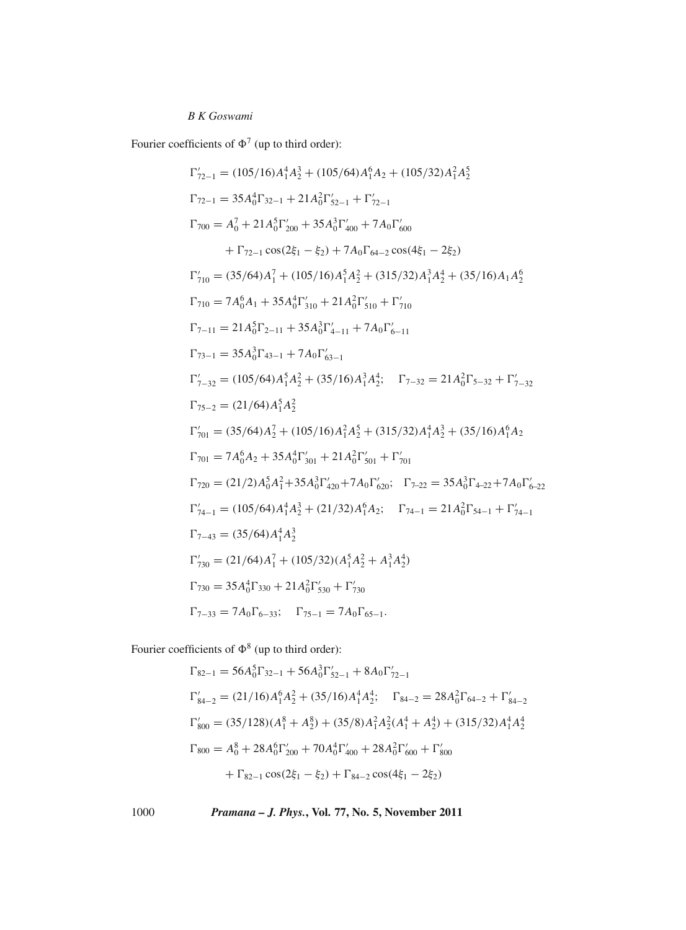Fourier coefficients of  $\Phi^7$  (up to third order):

$$
\Gamma'_{72-1} = (105/16)A_1^4A_2^3 + (105/64)A_1^6A_2 + (105/32)A_1^2A_2^5
$$
  
\n
$$
\Gamma_{72-1} = 35A_0^4\Gamma_{32-1} + 21A_0^2\Gamma'_{52-1} + \Gamma'_{72-1}
$$
  
\n
$$
\Gamma_{700} = A_0^7 + 21A_0^5\Gamma'_{200} + 35A_0^3\Gamma'_{400} + 7A_0\Gamma'_{600}
$$
  
\n
$$
+ \Gamma_{72-1} \cos(2\xi_1 - \xi_2) + 7A_0\Gamma_{64-2} \cos(4\xi_1 - 2\xi_2)
$$
  
\n
$$
\Gamma'_{710} = (35/64)A_1^7 + (105/16)A_1^5A_2^2 + (315/32)A_1^3A_2^4 + (35/16)A_1A_2^6
$$
  
\n
$$
\Gamma_{710} = 7A_0^6A_1 + 35A_0^4\Gamma'_{310} + 21A_0^2\Gamma'_{510} + \Gamma'_{710}
$$
  
\n
$$
\Gamma_{7-11} = 21A_0^5\Gamma_{2-11} + 35A_0^3\Gamma'_{4-11} + 7A_0\Gamma'_{6-11}
$$
  
\n
$$
\Gamma_{73-1} = 35A_0^3\Gamma_{43-1} + 7A_0\Gamma'_{63-1}
$$
  
\n
$$
\Gamma'_{7-32} = (105/64)A_1^5A_2^2 + (35/16)A_1^3A_2^4; \quad \Gamma_{7-32} = 21A_0^2\Gamma_{5-32} + \Gamma'_{7-32}
$$
  
\n
$$
\Gamma_{75-2} = (21/64)A_1^5A_2^2
$$
  
\n
$$
\Gamma'_{701} = (35/64)A_2^7 + (105/16)A_1^2A_2^5 + (315/32)A_1^4A_2^3 + (35/16)A_1^6A_2
$$
  
\n

Fourier coefficients of  $\Phi^8$  (up to third order):

$$
\Gamma_{82-1} = 56A_0^5 \Gamma_{32-1} + 56A_0^3 \Gamma'_{52-1} + 8A_0 \Gamma'_{72-1}
$$
  
\n
$$
\Gamma'_{84-2} = (21/16)A_1^6 A_2^2 + (35/16)A_1^4 A_2^4; \quad \Gamma_{84-2} = 28A_0^2 \Gamma_{64-2} + \Gamma'_{84-2}
$$
  
\n
$$
\Gamma'_{800} = (35/128)(A_1^8 + A_2^8) + (35/8)A_1^2 A_2^2 (A_1^4 + A_2^4) + (315/32)A_1^4 A_2^4
$$
  
\n
$$
\Gamma_{800} = A_0^8 + 28A_0^6 \Gamma'_{200} + 70A_0^4 \Gamma'_{400} + 28A_0^2 \Gamma'_{600} + \Gamma'_{800}
$$
  
\n
$$
+ \Gamma_{82-1} \cos(2\xi_1 - \xi_2) + \Gamma_{84-2} \cos(4\xi_1 - 2\xi_2)
$$

Pramana - J. Phys., Vol. 77, No. 5, November 2011

1000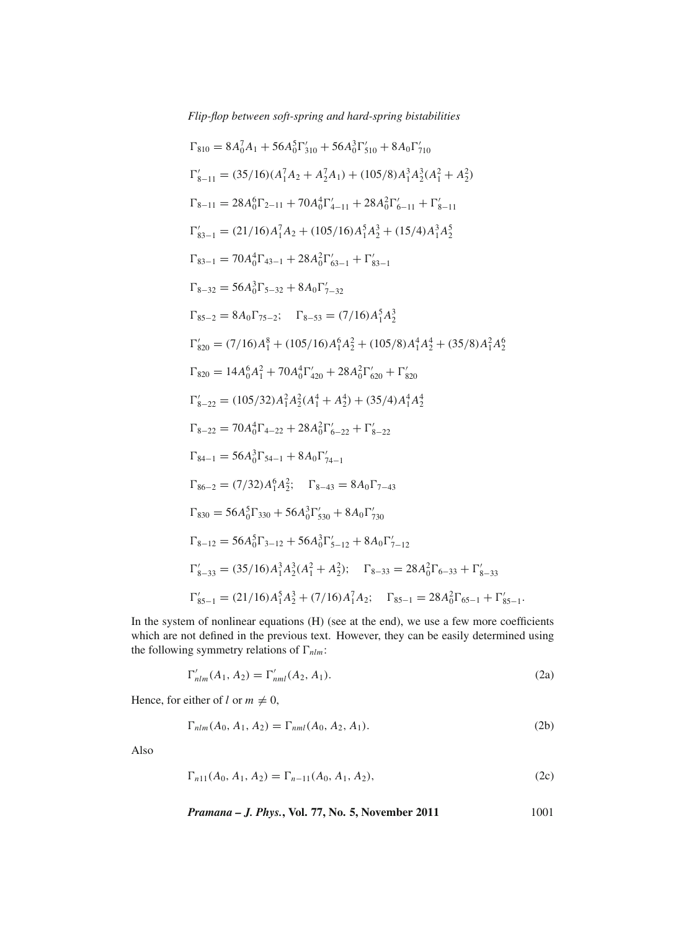$$
\Gamma_{810} = 8A_0^7A_1 + 56A_0^5\Gamma'_{310} + 56A_0^3\Gamma'_{510} + 8A_0\Gamma'_{710}
$$
  
\n
$$
\Gamma'_{8-11} = (35/16)(A_1^7A_2 + A_2^7A_1) + (105/8)A_1^3A_2^3(A_1^2 + A_2^2)
$$
  
\n
$$
\Gamma_{8-11} = 28A_0^6\Gamma_{2-11} + 70A_0^4\Gamma'_{4-11} + 28A_0^2\Gamma'_{6-11} + \Gamma'_{8-11}
$$
  
\n
$$
\Gamma'_{83-1} = (21/16)A_1^7A_2 + (105/16)A_1^5A_2^3 + (15/4)A_1^3A_2^5
$$
  
\n
$$
\Gamma_{83-1} = 70A_0^4\Gamma_{43-1} + 28A_0^2\Gamma'_{63-1} + \Gamma'_{83-1}
$$
  
\n
$$
\Gamma_{8-32} = 56A_0^3\Gamma_{5-32} + 8A_0\Gamma'_{7-32}
$$
  
\n
$$
\Gamma_{85-2} = 8A_0\Gamma_{75-2}; \quad \Gamma_{8-53} = (7/16)A_1^5A_2^3
$$
  
\n
$$
\Gamma'_{820} = (7/16)A_1^8 + (105/16)A_1^6A_2^2 + (105/8)A_1^4A_2^4 + (35/8)A_1^2A_2^6
$$
  
\n
$$
\Gamma'_{820} = 14A_0^6A_1^2 + 70A_0^4\Gamma'_{420} + 28A_0^2\Gamma'_{620} + \Gamma'_{820}
$$
  
\n
$$
\Gamma'_{8-22} = (105/32)A_1^2A_2^2(A_1^4 + A_2^4) + (35/4)A_1^4A_2^4
$$
  
\n
$$
\Gamma_{8-22} = 70A_0^4\Gamma_{4-22} + 28A_0^2\Gamma'_{6-22} + \Gamma'_{8-22}
$$
<

In the system of nonlinear equations (H) (see at the end), we use a few more coefficients which are not defined in the previous text. However, they can be easily determined using the following symmetry relations of  $\Gamma_{nlm}$ :

$$
\Gamma'_{nlm}(A_1, A_2) = \Gamma'_{nml}(A_2, A_1). \tag{2a}
$$

Hence, for either of l or  $m \neq 0$ ,

$$
\Gamma_{nlm}(A_0, A_1, A_2) = \Gamma_{nml}(A_0, A_2, A_1). \tag{2b}
$$

Also

$$
\Gamma_{n11}(A_0, A_1, A_2) = \Gamma_{n-11}(A_0, A_1, A_2),\tag{2c}
$$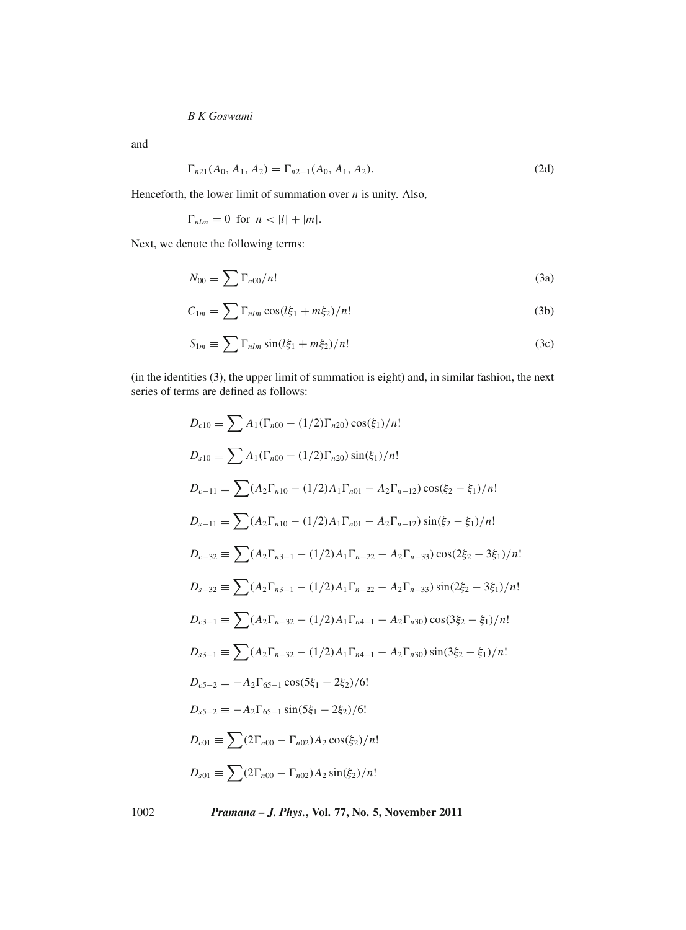and

$$
\Gamma_{n21}(A_0, A_1, A_2) = \Gamma_{n2-1}(A_0, A_1, A_2). \tag{2d}
$$

Henceforth, the lower limit of summation over *n* is unity. Also,

$$
\Gamma_{nlm} = 0 \text{ for } n < |l| + |m|.
$$

Next, we denote the following terms:

$$
N_{00} \equiv \sum \Gamma_{n00} / n! \tag{3a}
$$

$$
C_{1m} = \sum \Gamma_{nlm} \cos(l\xi_1 + m\xi_2)/n!
$$
 (3b)

$$
S_{1m} \equiv \sum \Gamma_{nlm} \sin(l\xi_1 + m\xi_2)/n! \tag{3c}
$$

(in the identities (3), the upper limit of summation is eight) and, in similar fashion, the next series of terms are defined as follows:

$$
D_{c10} = \sum A_1(\Gamma_{n00} - (1/2)\Gamma_{n20}) \cos(\xi_1)/n!
$$
  
\n
$$
D_{s10} = \sum A_1(\Gamma_{n00} - (1/2)\Gamma_{n20}) \sin(\xi_1)/n!
$$
  
\n
$$
D_{c-11} = \sum (A_2\Gamma_{n10} - (1/2)A_1\Gamma_{n01} - A_2\Gamma_{n-12}) \cos(\xi_2 - \xi_1)/n!
$$
  
\n
$$
D_{s-11} = \sum (A_2\Gamma_{n10} - (1/2)A_1\Gamma_{n01} - A_2\Gamma_{n-12}) \sin(\xi_2 - \xi_1)/n!
$$
  
\n
$$
D_{c-32} = \sum (A_2\Gamma_{n3-1} - (1/2)A_1\Gamma_{n-22} - A_2\Gamma_{n-33}) \cos(2\xi_2 - 3\xi_1)/n!
$$
  
\n
$$
D_{s-32} = \sum (A_2\Gamma_{n3-1} - (1/2)A_1\Gamma_{n-22} - A_2\Gamma_{n-33}) \sin(2\xi_2 - 3\xi_1)/n!
$$
  
\n
$$
D_{c3-1} = \sum (A_2\Gamma_{n-32} - (1/2)A_1\Gamma_{n4-1} - A_2\Gamma_{n30}) \cos(3\xi_2 - \xi_1)/n!
$$
  
\n
$$
D_{s3-1} = \sum (A_2\Gamma_{n-32} - (1/2)A_1\Gamma_{n4-1} - A_2\Gamma_{n30}) \sin(3\xi_2 - \xi_1)/n!
$$
  
\n
$$
D_{c5-2} = -A_2\Gamma_{65-1} \cos(5\xi_1 - 2\xi_2)/6!
$$
  
\n
$$
D_{s5-2} = -A_2\Gamma_{65-1} \sin(5\xi_1 - 2\xi_2)/6!
$$
  
\n
$$
D_{s01} = \sum (2\Gamma_{n00} - \Gamma_{n02})A_2 \cos(\xi_2)/n!
$$
  
\n
$$
D_{s01} = \sum (2\Gamma_{n00} - \Gamma_{n02})A_2 \sin(\xi_2)/n!
$$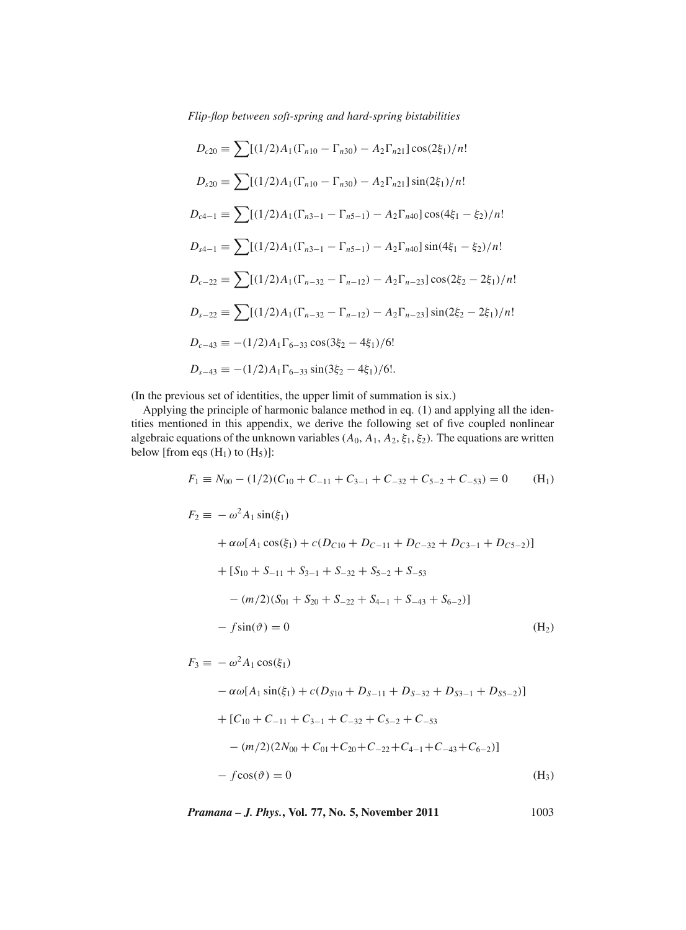$$
D_{c20} = \sum [(1/2)A_1(\Gamma_{n10} - \Gamma_{n30}) - A_2\Gamma_{n21}] \cos(2\xi_1)/n!
$$
  
\n
$$
D_{s20} = \sum [(1/2)A_1(\Gamma_{n10} - \Gamma_{n30}) - A_2\Gamma_{n21}] \sin(2\xi_1)/n!
$$
  
\n
$$
D_{c4-1} = \sum [(1/2)A_1(\Gamma_{n3-1} - \Gamma_{n5-1}) - A_2\Gamma_{n40}] \cos(4\xi_1 - \xi_2)/n!
$$
  
\n
$$
D_{s4-1} = \sum [(1/2)A_1(\Gamma_{n3-1} - \Gamma_{n5-1}) - A_2\Gamma_{n40}] \sin(4\xi_1 - \xi_2)/n!
$$
  
\n
$$
D_{c-22} = \sum [(1/2)A_1(\Gamma_{n-32} - \Gamma_{n-12}) - A_2\Gamma_{n-23}] \cos(2\xi_2 - 2\xi_1)/n!
$$
  
\n
$$
D_{s-22} = \sum [(1/2)A_1(\Gamma_{n-32} - \Gamma_{n-12}) - A_2\Gamma_{n-23}] \sin(2\xi_2 - 2\xi_1)/n!
$$
  
\n
$$
D_{c-43} = -(1/2)A_1\Gamma_{6-33} \cos(3\xi_2 - 4\xi_1)/6!
$$
  
\n
$$
D_{s-43} = -(1/2)A_1\Gamma_{6-33} \sin(3\xi_2 - 4\xi_1)/6!
$$

(In the previous set of identities, the upper limit of summation is six.)

Applying the principle of harmonic balance method in eq. (1) and applying all the identities mentioned in this appendix, we derive the following set of five coupled nonlinear algebraic equations of the unknown variables  $(A_0, A_1, A_2, \xi_1, \xi_2)$ . The equations are written below [from eqs  $(H_1)$  to  $(H_5)$ ]:

$$
F_1 \equiv N_{00} - (1/2)(C_{10} + C_{-11} + C_{3-1} + C_{-32} + C_{5-2} + C_{-53}) = 0 \qquad (H_1)
$$
  
\n
$$
F_2 \equiv -\omega^2 A_1 \sin(\xi_1)
$$
  
\n
$$
+\alpha \omega [A_1 \cos(\xi_1) + c(D_{C10} + D_{C-11} + D_{C-32} + D_{C3-1} + D_{C5-2})]
$$
  
\n
$$
+[S_{10} + S_{-11} + S_{3-1} + S_{-32} + S_{5-2} + S_{-53}]
$$
  
\n
$$
-(m/2)(S_{01} + S_{20} + S_{-22} + S_{4-1} + S_{-43} + S_{6-2})]
$$
  
\n
$$
-f \sin(\vartheta) = 0 \qquad (H_2)
$$
  
\n
$$
F_3 \equiv -\omega^2 A_1 \cos(\xi_1)
$$
  
\n
$$
-\alpha \omega [A_1 \sin(\xi_1) + c(D_{S10} + D_{S-11} + D_{S-32} + D_{S3-1} + D_{S5-2})]
$$

$$
u\omega_{1}H_{1} \sin(\zeta_{1}) + c(D_{510} + D_{5-11} + D_{5-32} + D_{53-1} + D_{55-2})
$$
  
+  $[C_{10} + C_{-11} + C_{3-1} + C_{-32} + C_{5-2} + C_{-53}$   
-  $(m/2)(2N_{00} + C_{01} + C_{20} + C_{-22} + C_{4-1} + C_{-43} + C_{6-2})]$   
-  $f \cos(\vartheta) = 0$  (H<sub>3</sub>)

*Pramana – J. Phys.***, Vol. 77, No. 5, November 2011** 1003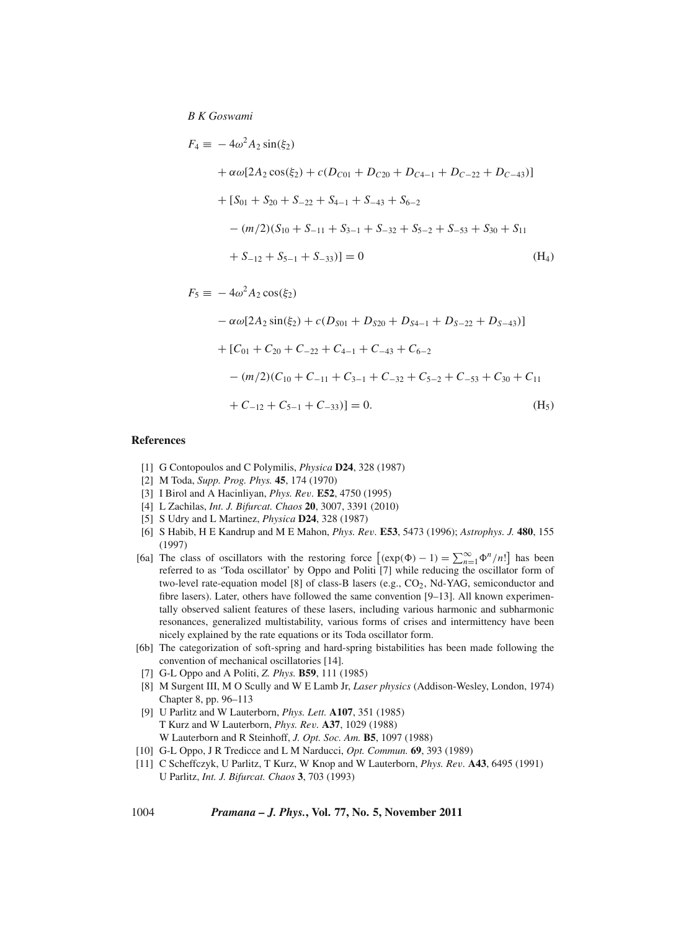$$
F_4 = -4\omega^2 A_2 \sin(\xi_2)
$$
  
+  $\alpha\omega[2A_2 \cos(\xi_2) + c(D_{C01} + D_{C20} + D_{C4-1} + D_{C-22} + D_{C-43})]$   
+  $[S_{01} + S_{20} + S_{-22} + S_{4-1} + S_{-43} + S_{6-2}$   
-  $(m/2)(S_{10} + S_{-11} + S_{3-1} + S_{-32} + S_{5-2} + S_{-53} + S_{30} + S_{11}$   
+  $S_{-12} + S_{5-1} + S_{-33})$  = 0 (H<sub>4</sub>)  
 $F_5 = -4\omega^2 A_2 \cos(\xi_2)$ 

$$
- \alpha \omega [2A_2 \sin(\xi_2) + c(D_{501} + D_{520} + D_{54-1} + D_{5-22} + D_{5-43})]
$$
  
+  $[C_{01} + C_{20} + C_{-22} + C_{4-1} + C_{-43} + C_{6-2}$   
-  $(m/2)(C_{10} + C_{-11} + C_{3-1} + C_{-32} + C_{5-2} + C_{-53} + C_{30} + C_{11}$   
+  $C_{-12} + C_{5-1} + C_{-33})] = 0.$  (H<sub>5</sub>)

### **References**

- [1] G Contopoulos and C Polymilis, *Physica* **D24**, 328 (1987)
- [2] M Toda, *Supp. Prog. Phys.* **45**, 174 (1970)
- [3] I Birol and A Hacinliyan, *Phys. Re*v*.* **E52**, 4750 (1995)
- [4] L Zachilas, *Int. J. Bifurcat. Chaos* **20**, 3007, 3391 (2010)
- [5] S Udry and L Martinez, *Physica* **D24**, 328 (1987)
- [6] S Habib, H E Kandrup and M E Mahon, *Phys. Re*v*.* **E53**, 5473 (1996); *Astrophys. J.* **480**, 155 (1997)
- [6a] The class of oscillators with the restoring force  $[(\exp(\Phi) 1) = \sum_{n=1}^{\infty} \Phi^n/n!]$  has been referred to as 'Toda oscillator' by Oppo and Politi [7] while reducing the oscillator form of two-level rate-equation model [8] of class-B lasers (e.g.,  $CO<sub>2</sub>$ , Nd-YAG, semiconductor and fibre lasers). Later, others have followed the same convention [9–13]. All known experimentally observed salient features of these lasers, including various harmonic and subharmonic resonances, generalized multistability, various forms of crises and intermittency have been nicely explained by the rate equations or its Toda oscillator form.
- [6b] The categorization of soft-spring and hard-spring bistabilities has been made following the convention of mechanical oscillatories [14].
- [7] G-L Oppo and A Politi, *Z. Phys.* **B59**, 111 (1985)
- [8] M Surgent III, M O Scully and W E Lamb Jr, *Laser physics* (Addison-Wesley, London, 1974) Chapter 8, pp. 96–113
- [9] U Parlitz and W Lauterborn, *Phys. Lett.* **A107**, 351 (1985) T Kurz and W Lauterborn, *Phys. Re*v*.* **A37**, 1029 (1988) W Lauterborn and R Steinhoff, *J. Opt. Soc. Am.* **B5**, 1097 (1988)
- [10] G-L Oppo, J R Tredicce and L M Narducci, *Opt. Commun.* **69**, 393 (1989)
- [11] C Scheffczyk, U Parlitz, T Kurz, W Knop and W Lauterborn, *Phys. Re*v*.* **A43**, 6495 (1991) U Parlitz, *Int. J. Bifurcat. Chaos* **3**, 703 (1993)